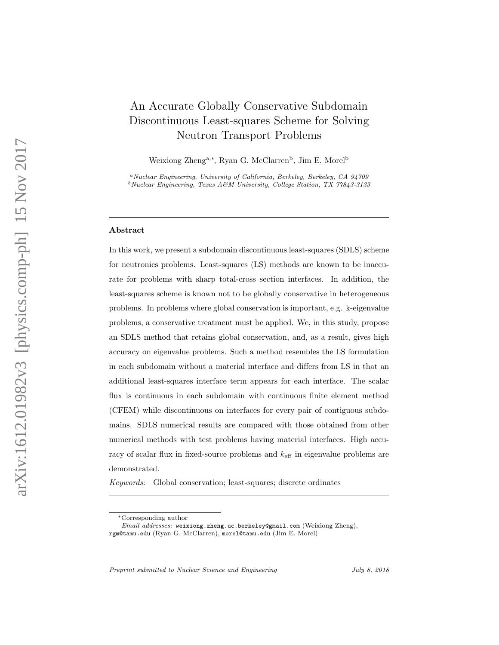# An Accurate Globally Conservative Subdomain Discontinuous Least-squares Scheme for Solving Neutron Transport Problems

Weixiong Zheng<sup>a,\*</sup>, Ryan G. McClarren<sup>b</sup>, Jim E. Morel<sup>b</sup>

<sup>a</sup>Nuclear Engineering, University of California, Berkeley, Berkeley, CA 94709  $b$ Nuclear Engineering, Texas A&M University, College Station, TX 77843-3133

### Abstract

In this work, we present a subdomain discontinuous least-squares (SDLS) scheme for neutronics problems. Least-squares (LS) methods are known to be inaccurate for problems with sharp total-cross section interfaces. In addition, the least-squares scheme is known not to be globally conservative in heterogeneous problems. In problems where global conservation is important, e.g. k-eigenvalue problems, a conservative treatment must be applied. We, in this study, propose an SDLS method that retains global conservation, and, as a result, gives high accuracy on eigenvalue problems. Such a method resembles the LS formulation in each subdomain without a material interface and differs from LS in that an additional least-squares interface term appears for each interface. The scalar flux is continuous in each subdomain with continuous finite element method (CFEM) while discontinuous on interfaces for every pair of contiguous subdomains. SDLS numerical results are compared with those obtained from other numerical methods with test problems having material interfaces. High accuracy of scalar flux in fixed-source problems and  $k_{\text{eff}}$  in eigenvalue problems are demonstrated.

Keywords: Global conservation; least-squares; discrete ordinates

Preprint submitted to Nuclear Science and Engineering July 8, 2018

<sup>∗</sup>Corresponding author

Email addresses: weixiong.zheng.uc.berkeley@gmail.com (Weixiong Zheng), rgm@tamu.edu (Ryan G. McClarren), morel@tamu.edu (Jim E. Morel)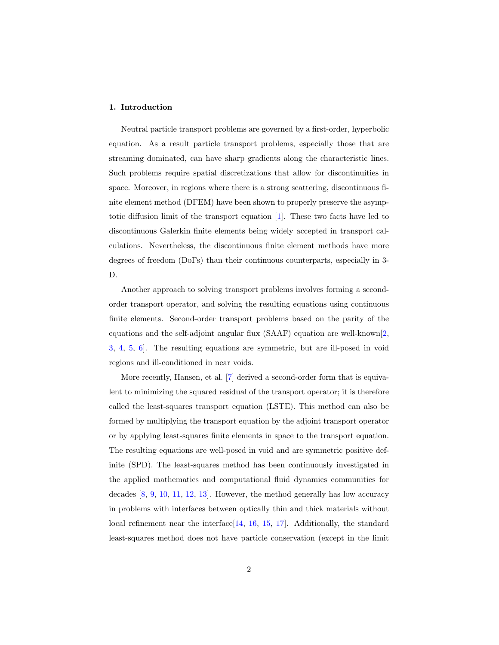# 1. Introduction

Neutral particle transport problems are governed by a first-order, hyperbolic equation. As a result particle transport problems, especially those that are streaming dominated, can have sharp gradients along the characteristic lines. Such problems require spatial discretizations that allow for discontinuities in space. Moreover, in regions where there is a strong scattering, discontinuous finite element method (DFEM) have been shown to properly preserve the asymptotic diffusion limit of the transport equation [\[1\]](#page-21-0). These two facts have led to discontinuous Galerkin finite elements being widely accepted in transport calculations. Nevertheless, the discontinuous finite element methods have more degrees of freedom (DoFs) than their continuous counterparts, especially in 3- D.

Another approach to solving transport problems involves forming a secondorder transport operator, and solving the resulting equations using continuous finite elements. Second-order transport problems based on the parity of the equations and the self-adjoint angular flux (SAAF) equation are well-known[\[2,](#page-21-1) [3,](#page-21-2) [4,](#page-21-3) [5,](#page-22-0) [6\]](#page-22-1). The resulting equations are symmetric, but are ill-posed in void regions and ill-conditioned in near voids.

More recently, Hansen, et al. [\[7\]](#page-22-2) derived a second-order form that is equivalent to minimizing the squared residual of the transport operator; it is therefore called the least-squares transport equation (LSTE). This method can also be formed by multiplying the transport equation by the adjoint transport operator or by applying least-squares finite elements in space to the transport equation. The resulting equations are well-posed in void and are symmetric positive definite (SPD). The least-squares method has been continuously investigated in the applied mathematics and computational fluid dynamics communities for decades [\[8,](#page-22-3) [9,](#page-22-4) [10,](#page-22-5) [11,](#page-22-6) [12,](#page-22-7) [13\]](#page-22-8). However, the method generally has low accuracy in problems with interfaces between optically thin and thick materials without local refinement near the interface<sup>[\[14,](#page-22-9) [16,](#page-23-0) [15,](#page-23-1) [17\]](#page-23-2)</sup>. Additionally, the standard least-squares method does not have particle conservation (except in the limit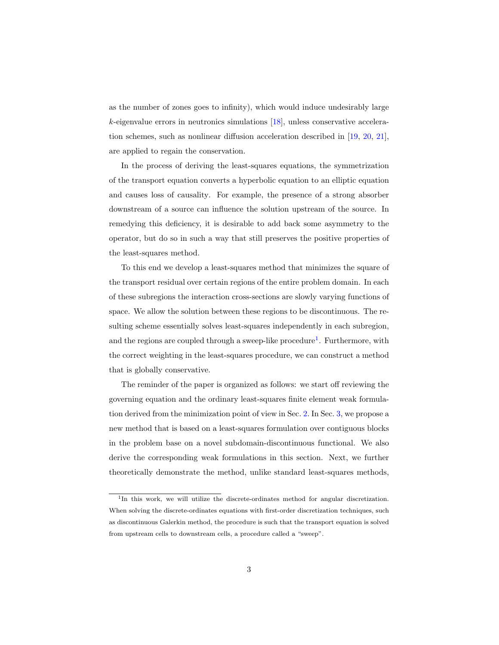as the number of zones goes to infinity), which would induce undesirably large k-eigenvalue errors in neutronics simulations [\[18\]](#page-23-3), unless conservative acceleration schemes, such as nonlinear diffusion acceleration described in [\[19,](#page-23-4) [20,](#page-23-5) [21\]](#page-23-6), are applied to regain the conservation.

In the process of deriving the least-squares equations, the symmetrization of the transport equation converts a hyperbolic equation to an elliptic equation and causes loss of causality. For example, the presence of a strong absorber downstream of a source can influence the solution upstream of the source. In remedying this deficiency, it is desirable to add back some asymmetry to the operator, but do so in such a way that still preserves the positive properties of the least-squares method.

To this end we develop a least-squares method that minimizes the square of the transport residual over certain regions of the entire problem domain. In each of these subregions the interaction cross-sections are slowly varying functions of space. We allow the solution between these regions to be discontinuous. The resulting scheme essentially solves least-squares independently in each subregion, and the regions are coupled through a sweep-like procedure<sup>[1](#page-2-0)</sup>. Furthermore, with the correct weighting in the least-squares procedure, we can construct a method that is globally conservative.

The reminder of the paper is organized as follows: we start off reviewing the governing equation and the ordinary least-squares finite element weak formulation derived from the minimization point of view in Sec. [2.](#page-3-0) In Sec. [3,](#page-7-0) we propose a new method that is based on a least-squares formulation over contiguous blocks in the problem base on a novel subdomain-discontinuous functional. We also derive the corresponding weak formulations in this section. Next, we further theoretically demonstrate the method, unlike standard least-squares methods,

<span id="page-2-0"></span><sup>&</sup>lt;sup>1</sup>In this work, we will utilize the discrete-ordinates method for angular discretization. When solving the discrete-ordinates equations with first-order discretization techniques, such as discontinuous Galerkin method, the procedure is such that the transport equation is solved from upstream cells to downstream cells, a procedure called a "sweep".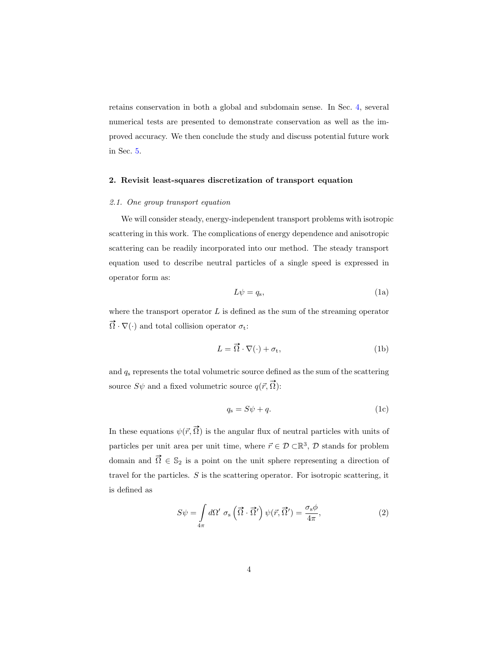retains conservation in both a global and subdomain sense. In Sec. [4,](#page-12-0) several numerical tests are presented to demonstrate conservation as well as the improved accuracy. We then conclude the study and discuss potential future work in Sec. [5.](#page-20-0)

### <span id="page-3-0"></span>2. Revisit least-squares discretization of transport equation

## 2.1. One group transport equation

We will consider steady, energy-independent transport problems with isotropic scattering in this work. The complications of energy dependence and anisotropic scattering can be readily incorporated into our method. The steady transport equation used to describe neutral particles of a single speed is expressed in operator form as:

<span id="page-3-1"></span>
$$
L\psi = q_s,\tag{1a}
$$

where the transport operator  $L$  is defined as the sum of the streaming operator  $\vec{\Omega} \cdot \nabla(\cdot)$  and total collision operator  $\sigma_t$ :

$$
L = \vec{\Omega} \cdot \nabla(\cdot) + \sigma_t,\tag{1b}
$$

and  $q_s$  represents the total volumetric source defined as the sum of the scattering source  $S\psi$  and a fixed volumetric source  $q(\vec{r}, \vec{\Omega})$ :

$$
q_{\rm s} = S\psi + q.\tag{1c}
$$

In these equations  $\psi(\vec{r}, \vec{\Omega})$  is the angular flux of neutral particles with units of particles per unit area per unit time, where  $\vec{r} \in \mathcal{D} \subset \mathbb{R}^3$ ,  $\mathcal{D}$  stands for problem domain and  $\vec{\Omega} \in \mathbb{S}_2$  is a point on the unit sphere representing a direction of travel for the particles.  $S$  is the scattering operator. For isotropic scattering, it is defined as

$$
S\psi = \int\limits_{4\pi} d\Omega' \sigma_{\rm s} \left( \vec{\Omega} \cdot \vec{\Omega}' \right) \psi(\vec{r}, \vec{\Omega}') = \frac{\sigma_{\rm s} \phi}{4\pi},\tag{2}
$$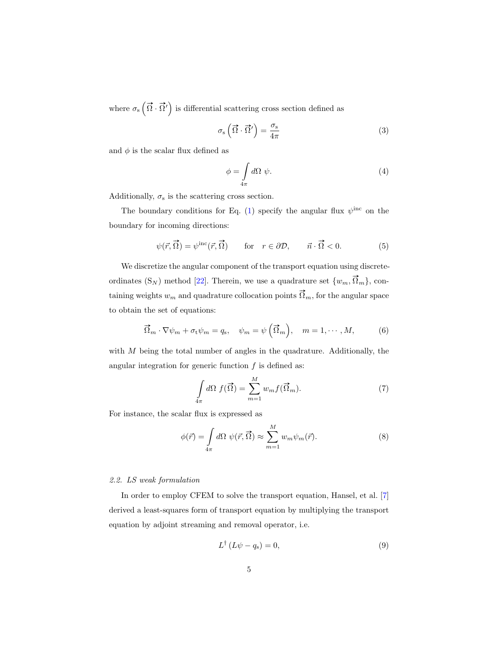where  $\sigma_s(\vec{\Omega} \cdot \vec{\Omega}')$  is differential scattering cross section defined as

$$
\sigma_{\rm s} \left( \vec{\Omega} \cdot \vec{\Omega}' \right) = \frac{\sigma_{\rm s}}{4\pi} \tag{3}
$$

and  $\phi$  is the scalar flux defined as

$$
\phi = \int\limits_{4\pi} d\Omega \, \psi. \tag{4}
$$

Additionally,  $\sigma_{\rm s}$  is the scattering cross section.

The boundary conditions for Eq. [\(1\)](#page-3-1) specify the angular flux  $\psi^{\text{inc}}$  on the boundary for incoming directions:

$$
\psi(\vec{r}, \vec{\Omega}) = \psi^{\rm inc}(\vec{r}, \vec{\Omega}) \qquad \text{for} \quad r \in \partial \mathcal{D}, \qquad \vec{n} \cdot \vec{\Omega} < 0. \tag{5}
$$

We discretize the angular component of the transport equation using discreteordinates  $(S_N)$  method [\[22\]](#page-23-7). Therein, we use a quadrature set  $\{w_m, \vec{\Omega}_m\}$ , containing weights  $w_m$  and quadrature collocation points  $\vec{\Omega}_m$ , for the angular space to obtain the set of equations:

$$
\vec{\Omega}_m \cdot \nabla \psi_m + \sigma_t \psi_m = q_s, \quad \psi_m = \psi \left( \vec{\Omega}_m \right), \quad m = 1, \cdots, M,
$$
 (6)

with  $M$  being the total number of angles in the quadrature. Additionally, the angular integration for generic function  $f$  is defined as:

$$
\int_{4\pi} d\Omega \ f(\vec{\Omega}) = \sum_{m=1}^{M} w_m f(\vec{\Omega}_m). \tag{7}
$$

For instance, the scalar flux is expressed as

$$
\phi(\vec{r}) = \int_{4\pi} d\Omega \, \psi(\vec{r}, \vec{\Omega}) \approx \sum_{m=1}^{M} w_m \psi_m(\vec{r}). \tag{8}
$$

# 2.2. LS weak formulation

In order to employ CFEM to solve the transport equation, Hansel, et al. [\[7\]](#page-22-2) derived a least-squares form of transport equation by multiplying the transport equation by adjoint streaming and removal operator, i.e.

<span id="page-4-0"></span>
$$
L^{\dagger} (L\psi - q_{\rm s}) = 0, \tag{9}
$$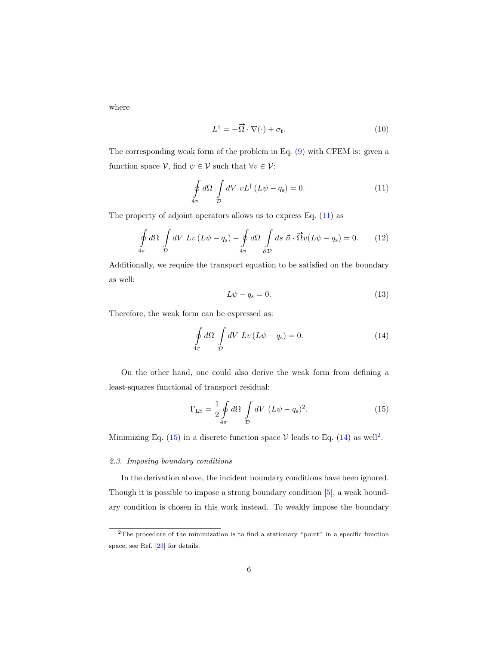where

<span id="page-5-0"></span>
$$
L^{\dagger} = -\vec{\Omega} \cdot \nabla(\cdot) + \sigma_{t}.
$$
 (10)

The corresponding weak form of the problem in Eq. [\(9\)](#page-4-0) with CFEM is: given a function space  $V$ , find  $\psi \in V$  such that  $\forall v \in V$ :

$$
\oint_{4\pi} d\Omega \int_{\mathcal{D}} dV \ v L^{\dagger} (L\psi - q_{\rm s}) = 0. \tag{11}
$$

The property of adjoint operators allows us to express Eq.  $(11)$  as

$$
\oint_{4\pi} d\Omega \int_{\mathcal{D}} dV \, Lv \left( L\psi - q_{\rm s} \right) - \oint_{4\pi} d\Omega \int_{\partial \mathcal{D}} ds \, \vec{n} \cdot \vec{\Omega} v \left( L\psi - q_{\rm s} \right) = 0. \tag{12}
$$

Additionally, we require the transport equation to be satisfied on the boundary as well:

<span id="page-5-2"></span>
$$
L\psi - q_s = 0.\t\t(13)
$$

Therefore, the weak form can be expressed as:

$$
\oint_{4\pi} d\Omega \int_{\mathcal{D}} dV \, Lv \left( L\psi - q_{\rm s} \right) = 0. \tag{14}
$$

On the other hand, one could also derive the weak form from defining a least-squares functional of transport residual:

<span id="page-5-1"></span>
$$
\Gamma_{\rm LS} = \frac{1}{2} \oint\limits_{4\pi} d\Omega \int\limits_{\mathcal{D}} dV \ (L\psi - q_{\rm s})^2. \tag{15}
$$

Minimizing Eq. [\(15\)](#page-5-1) in a discrete function space  $V$  leads to Eq. [\(14\)](#page-5-2) as well<sup>[2](#page-5-3)</sup>.

### <span id="page-5-4"></span>2.3. Imposing boundary conditions

In the derivation above, the incident boundary conditions have been ignored. Though it is possible to impose a strong boundary condition [\[5\]](#page-22-0), a weak boundary condition is chosen in this work instead. To weakly impose the boundary

<span id="page-5-3"></span><sup>2</sup>The procedure of the minimization is to find a stationary "point" in a specific function space, see Ref. [\[23\]](#page-24-0) for details.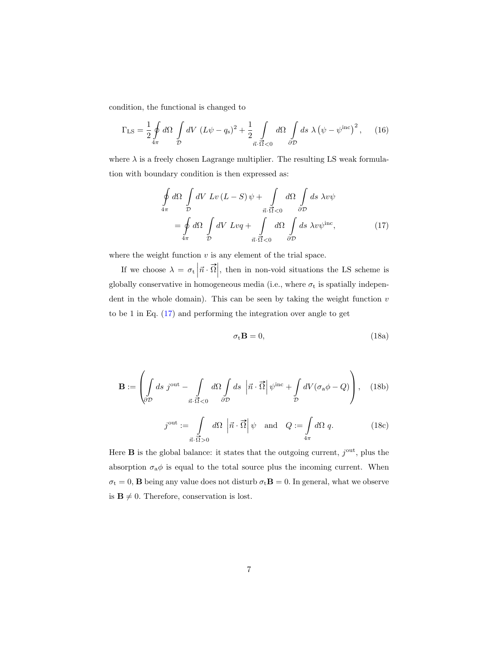condition, the functional is changed to

$$
\Gamma_{\rm LS} = \frac{1}{2} \oint\limits_{4\pi} d\Omega \int\limits_{\mathcal{D}} dV \ (L\psi - q_{\rm s})^2 + \frac{1}{2} \int\limits_{\vec{n} \cdot \vec{\Omega} < 0} d\Omega \int\limits_{\partial \mathcal{D}} ds \ \lambda \left(\psi - \psi^{\rm inc}\right)^2, \tag{16}
$$

where  $\lambda$  is a freely chosen Lagrange multiplier. The resulting LS weak formulation with boundary condition is then expressed as:

$$
\oint_{4\pi} d\Omega \int_{\mathcal{D}} dV \, Lv \, (L - S) \psi + \int_{\vec{n} \cdot \vec{\Omega} < 0 \quad \partial \mathcal{D}} dS \, \lambda v \psi
$$
\n
$$
= \oint_{4\pi} d\Omega \int_{\mathcal{D}} dV \, Lvq + \int_{\vec{n} \cdot \vec{\Omega} < 0 \quad \partial \mathcal{D}} dS \, \lambda v \psi^{\text{inc}}, \tag{17}
$$

where the weight function  $v$  is any element of the trial space.

If we choose  $\lambda = \sigma_t \left| \vec{n} \cdot \vec{\Omega} \right|$ , then in non-void situations the LS scheme is globally conservative in homogeneous media (i.e., where  $\sigma_t$  is spatially independent in the whole domain). This can be seen by taking the weight function  $v$ to be 1 in Eq. [\(17\)](#page-6-0) and performing the integration over angle to get

<span id="page-6-0"></span>
$$
\sigma_{t} \mathbf{B} = 0, \qquad (18a)
$$

$$
\mathbf{B} := \left( \int_{\partial \mathcal{D}} ds \ j^{\text{out}} - \int_{\vec{n} \cdot \vec{\Omega} < 0} d\Omega \int_{\partial \mathcal{D}} ds \ \left| \vec{n} \cdot \vec{\Omega} \right| \psi^{\text{inc}} + \int_{\mathcal{D}} dV (\sigma_{\text{a}} \phi - Q) \right), \quad (18b)
$$

$$
j^{\text{out}} := \int\limits_{\vec{n} \cdot \vec{\Omega} > 0} d\Omega \, \left| \vec{n} \cdot \vec{\Omega} \right| \psi \quad \text{and} \quad Q := \int\limits_{4\pi} d\Omega \, q. \tag{18c}
$$

Here **B** is the global balance: it states that the outgoing current,  $j<sup>out</sup>$ , plus the absorption  $\sigma_{a}\phi$  is equal to the total source plus the incoming current. When  $\sigma_{\rm t}=0,$   ${\bf B}$  being any value does not disturb  $\sigma_{\rm t}{\bf B}=0.$  In general, what we observe is  $\mathbf{B} \neq 0$ . Therefore, conservation is lost.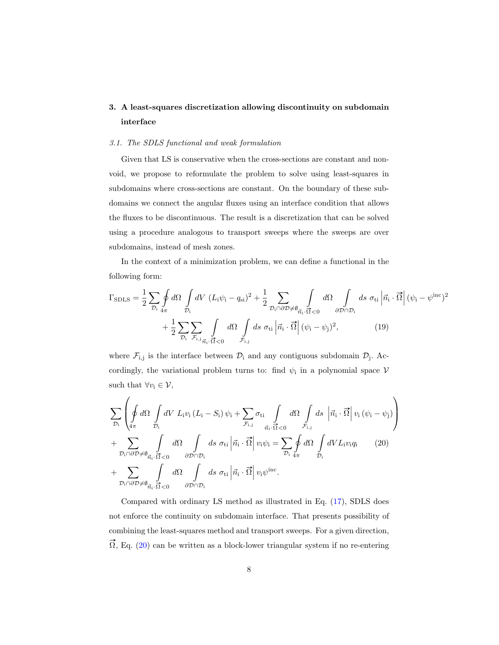# <span id="page-7-0"></span>3. A least-squares discretization allowing discontinuity on subdomain interface

# 3.1. The SDLS functional and weak formulation

Given that LS is conservative when the cross-sections are constant and nonvoid, we propose to reformulate the problem to solve using least-squares in subdomains where cross-sections are constant. On the boundary of these subdomains we connect the angular fluxes using an interface condition that allows the fluxes to be discontinuous. The result is a discretization that can be solved using a procedure analogous to transport sweeps where the sweeps are over subdomains, instead of mesh zones.

In the context of a minimization problem, we can define a functional in the following form:

$$
\Gamma_{\text{SDLS}} = \frac{1}{2} \sum_{\mathcal{D}_i} \oint d\Omega \int_{\mathcal{D}_i} dV \left( L_i \psi_i - q_{si} \right)^2 + \frac{1}{2} \sum_{\mathcal{D}_i \cap \partial \mathcal{D} \neq \emptyset} \int_{\vec{n}_i \cdot \vec{\Omega} < 0} d\Omega \int_{\partial \mathcal{D} \cap \mathcal{D}_i} ds \sigma_{ti} \left| \vec{n}_i \cdot \vec{\Omega} \right| (\psi_i - \psi^{\text{inc}})^2 + \frac{1}{2} \sum_{\mathcal{D}_i} \sum_{\mathcal{F}_{i,j}} \int_{\vec{n}_i \cdot \vec{\Omega} < 0} d\Omega \int_{\vec{r}_{i,j}} ds \sigma_{ti} \left| \vec{n}_i \cdot \vec{\Omega} \right| (\psi_i - \psi_j)^2, \tag{19}
$$

where  $\mathcal{F}_{i,j}$  is the interface between  $\mathcal{D}_i$  and any contiguous subdomain  $\mathcal{D}_j$ . Accordingly, the variational problem turns to: find  $\psi_i$  in a polynomial space  $\mathcal V$ such that  $\forall v_i \in \mathcal{V}$ ,

<span id="page-7-1"></span>
$$
\sum_{\mathcal{D}_{i}}\left(\oint_{4\pi}d\Omega\int_{\mathcal{D}_{i}}dV L_{i}v_{i}\left(L_{i}-S_{i}\right)\psi_{i}+\sum_{\mathcal{F}_{i,j}}\sigma_{ti}\int_{\vec{\mathcal{D}}_{i}\leq 0}d\Omega\int_{\vec{\mathcal{F}}_{i,j}}ds\left|\vec{n}_{i}\cdot\vec{\Omega}\right|v_{i}\left(\psi_{i}-\psi_{j}\right)\right) + \sum_{\mathcal{D}_{i}\cap\partial\mathcal{D}\neq\emptyset_{\vec{n}_{i}}\cdot\vec{\Omega}\leq 0}d\Omega\int_{\partial\mathcal{D}\cap\mathcal{D}_{i}}ds\,\sigma_{ti}\left|\vec{n}_{i}\cdot\vec{\Omega}\right|v_{i}\psi_{i}=\sum_{\mathcal{D}_{i}}\oint_{4\pi}d\Omega\int_{\mathcal{D}_{i}}dVL_{i}v_{i}q_{i} \qquad (20)+ \sum_{\mathcal{D}_{i}\cap\partial\mathcal{D}\neq\emptyset_{\vec{n}_{i}}\cdot\vec{\Omega}\leq 0}d\Omega\int_{\partial\mathcal{D}\cap\mathcal{D}_{i}}ds\,\sigma_{ti}\left|\vec{n}_{i}\cdot\vec{\Omega}\right|v_{i}\psi^{\text{inc}}.
$$

Compared with ordinary LS method as illustrated in Eq. [\(17\)](#page-6-0), SDLS does not enforce the continuity on subdomain interface. That presents possibility of combining the least-squares method and transport sweeps. For a given direction,  $\vec{\Omega}$ , Eq. [\(20\)](#page-7-1) can be written as a block-lower triangular system if no re-entering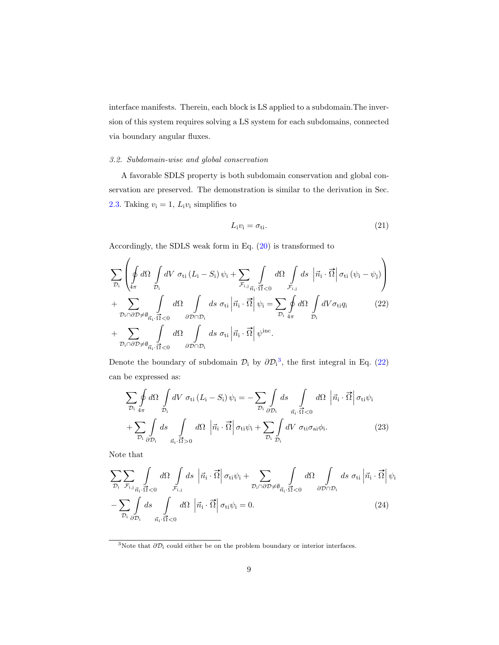interface manifests. Therein, each block is LS applied to a subdomain.The inversion of this system requires solving a LS system for each subdomains, connected via boundary angular fluxes.

# 3.2. Subdomain-wise and global conservation

A favorable SDLS property is both subdomain conservation and global conservation are preserved. The demonstration is similar to the derivation in Sec. [2.3.](#page-5-4) Taking  $v_i = 1$ ,  $L_i v_i$  simplifies to

<span id="page-8-2"></span><span id="page-8-1"></span>
$$
L_i v_i = \sigma_{ti}.
$$
\n<sup>(21)</sup>

Accordingly, the SDLS weak form in Eq. [\(20\)](#page-7-1) is transformed to

$$
\sum_{\mathcal{D}_{i}}\left(\oint_{4\pi}d\Omega\int_{\mathcal{D}_{i}}dV\,\sigma_{ti}\,(L_{i}-S_{i})\,\psi_{i}+\sum_{\mathcal{F}_{i,j}}\int_{\vec{\mathcal{D}}_{i},\vec{\Omega}<0}d\Omega\int_{\vec{\mathcal{F}}_{i,j}}ds\,\left|\vec{n}_{i}\cdot\vec{\Omega}\right|\sigma_{ti}\,(\psi_{i}-\psi_{j})\right) \n+\sum_{\mathcal{D}_{i}\cap\partial\mathcal{D}\neq\emptyset}\int_{\vec{n}_{i}\cdot\vec{\Omega}<0}d\Omega\int_{\partial\mathcal{D}\cap\mathcal{D}_{i}}ds\,\sigma_{ti}\left|\vec{n}_{i}\cdot\vec{\Omega}\right|\psi_{i}=\sum_{\mathcal{D}_{i}}\oint_{4\pi}d\Omega\int_{\mathcal{D}_{i}}dV\sigma_{ti}q_{i}
$$
\n
$$
+\sum_{\mathcal{D}_{i}\cap\partial\mathcal{D}\neq\emptyset}\int_{\vec{n}_{i}\cdot\vec{\Omega}<0}d\Omega\int_{\partial\mathcal{D}\cap\mathcal{D}_{i}}ds\,\sigma_{ti}\left|\vec{n}_{i}\cdot\vec{\Omega}\right|\psi^{\text{inc}}.
$$
\n(22)

Denote the boundary of subdomain  $\mathcal{D}_i$  by  $\partial \mathcal{D}_i^3$  $\partial \mathcal{D}_i^3$ , the first integral in Eq. [\(22\)](#page-8-1) can be expressed as:

$$
\sum_{\mathcal{D}_i} \oint d\Omega \int_{\mathcal{D}_i} dV \sigma_{ti} (L_i - S_i) \psi_i = - \sum_{\mathcal{D}_i} \int_{\partial \mathcal{D}_i} ds \int_{\vec{n}_i \cdot \vec{\Omega} < 0} d\Omega \left| \vec{n}_i \cdot \vec{\Omega} \right| \sigma_{ti} \psi_i
$$
  
+ 
$$
\sum_{\mathcal{D}_i} \int_{\partial \mathcal{D}_i} ds \int_{\vec{n}_i \cdot \vec{\Omega} > 0} d\Omega \left| \vec{n}_i \cdot \vec{\Omega} \right| \sigma_{ti} \psi_i + \sum_{\mathcal{D}_i} \int_{\mathcal{D}_i} dV \sigma_{ti} \sigma_{ai} \phi_i.
$$
 (23)

Note that

$$
\sum_{\mathcal{D}_{i}}\sum_{\mathcal{F}_{i,j}}\int_{\vec{n}_{i}}d\Omega\int_{\mathcal{F}_{i,j}}ds\left|\vec{n}_{i}\cdot\vec{\Omega}\right|\sigma_{ti}\psi_{i}+\sum_{\mathcal{D}_{i}\cap\partial\mathcal{D}\neq\emptyset_{\vec{n}_{i}},\vec{\Omega}<0}d\Omega\int_{\partial\mathcal{D}\cap\mathcal{D}_{i}}ds\,\sigma_{ti}\left|\vec{n}_{i}\cdot\vec{\Omega}\right|\psi_{i}
$$

$$
-\sum_{\mathcal{D}_{i}}\int_{\partial\mathcal{D}_{i}}ds\int_{\vec{n}_{i}\cdot\vec{\Omega}<0}d\Omega\left|\vec{n}_{i}\cdot\vec{\Omega}\right|\sigma_{ti}\psi_{i}=0.
$$
(24)

<span id="page-8-3"></span><span id="page-8-0"></span><sup>&</sup>lt;sup>3</sup>Note that  $\partial \mathcal{D}_i$  could either be on the problem boundary or interior interfaces.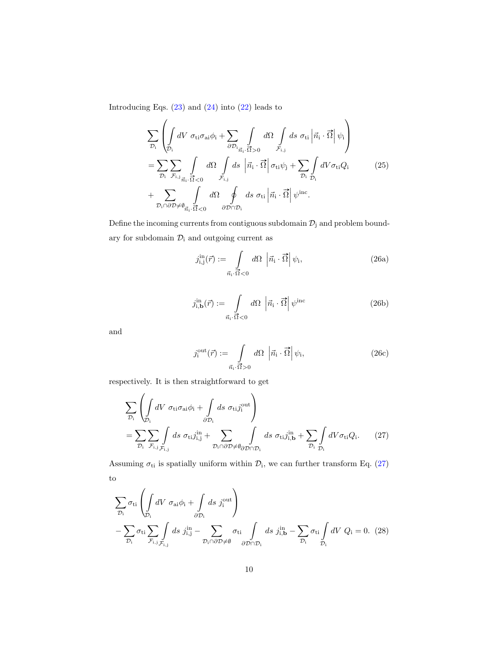Introducing Eqs.  $(23)$  and  $(24)$  into  $(22)$  leads to

$$
\sum_{\mathcal{D}_{i}}\left(\int_{\mathcal{D}_{i}}dV \ \sigma_{ti}\sigma_{ai}\phi_{i} + \sum_{\partial\mathcal{D}_{i}}\int_{\vec{\eta}_{i}.\vec{\Omega}>0}d\Omega \int_{\vec{r}_{i,j}}ds \ \sigma_{ti}\left|\vec{n}_{i}\cdot\vec{\Omega}\right|\psi_{i}\right) \n= \sum_{\mathcal{D}_{i}}\sum_{\mathcal{F}_{i,j}}\int_{\vec{\eta}_{i}.\vec{\Omega}<0}d\Omega \int_{\vec{r}_{i,j}}ds \left|\vec{n}_{i}\cdot\vec{\Omega}\right|\sigma_{ti}\psi_{j} + \sum_{\mathcal{D}_{i}}\int_{\mathcal{D}_{i}}dV\sigma_{ti}Q_{i} \n+ \sum_{\mathcal{D}_{i}\cap\partial\mathcal{D}\neq\emptyset}\int_{\vec{\eta}_{i}.\vec{\Omega}<0}d\Omega \oint_{\partial\mathcal{D}\cap\mathcal{D}_{i}}ds \ \sigma_{ti}\left|\vec{n}_{i}\cdot\vec{\Omega}\right|\psi^{\text{inc}}.
$$
\n(25)

Define the incoming currents from contiguous subdomain  $\mathcal{D}_j$  and problem boundary for subdomain  $\mathcal{D}_i$  and outgoing current as

$$
j_{\mathbf{i},\mathbf{j}}^{\text{in}}(\vec{r}) := \int\limits_{\vec{n}_\mathbf{i} \cdot \vec{\Omega} < 0} d\Omega \, \left| \vec{n}_\mathbf{i} \cdot \vec{\Omega} \right| \psi_\mathbf{i},\tag{26a}
$$

$$
j_{\mathbf{i},\mathbf{b}}^{\text{in}}(\vec{r}) := \int\limits_{\vec{n}_\mathbf{i} \cdot \vec{\Omega} < 0} d\Omega \, \left| \vec{n}_\mathbf{i} \cdot \vec{\Omega} \right| \psi^{\text{inc}} \tag{26b}
$$

and

<span id="page-9-0"></span>
$$
j_i^{\text{out}}(\vec{r}) := \int\limits_{\vec{n}_i \cdot \vec{\Omega} > 0} d\Omega \, \left| \vec{n}_i \cdot \vec{\Omega} \right| \psi_i, \tag{26c}
$$

respectively. It is then straightforward to get

$$
\sum_{\mathcal{D}_{i}} \left( \int_{\mathcal{D}_{i}} dV \, \sigma_{ti} \sigma_{ai} \phi_{i} + \int_{\partial \mathcal{D}_{i}} ds \, \sigma_{ti} j_{i}^{out} \right)
$$
\n
$$
= \sum_{\mathcal{D}_{i}} \sum_{\mathcal{F}_{i,j}} \int_{\mathcal{F}_{i,j}} ds \, \sigma_{ti} j_{i,j}^{in} + \sum_{\mathcal{D}_{i} \cap \partial \mathcal{D} \neq \emptyset} \int_{\partial \mathcal{D} \cap \mathcal{D}_{i}} ds \, \sigma_{ti} j_{i,b}^{in} + \sum_{\mathcal{D}_{i}} \int_{\mathcal{D}_{i}} dV \sigma_{ti} Q_{i}. \tag{27}
$$

Assuming  $\sigma_{ti}$  is spatially uniform within  $\mathcal{D}_i$ , we can further transform Eq. [\(27\)](#page-9-0) to

$$
\sum_{\mathcal{D}_{\mathbf{i}}} \sigma_{\mathbf{ti}} \left( \int_{\mathcal{D}_{\mathbf{i}}} dV \sigma_{\mathbf{ai}} \phi_{\mathbf{i}} + \int_{\partial \mathcal{D}_{\mathbf{i}}} ds \ j_{\mathbf{i}}^{\text{out}} \right) \n- \sum_{\mathcal{D}_{\mathbf{i}}} \sigma_{\mathbf{ti}} \sum_{\mathcal{F}_{\mathbf{i}, \mathbf{j}}} \int_{\mathcal{F}_{\mathbf{i}, \mathbf{j}}} ds \ j_{\mathbf{i}, \mathbf{j}}^{\text{in}} - \sum_{\mathcal{D}_{\mathbf{i}}} \sigma_{\mathbf{ti}} \int_{\partial \mathcal{D} \cap \mathcal{D}_{\mathbf{i}}} ds \ j_{\mathbf{i}, \mathbf{b}}^{\text{in}} - \sum_{\mathcal{D}_{\mathbf{i}}} \sigma_{\mathbf{ti}} \int_{\mathcal{D}_{\mathbf{i}}} dV Q_{\mathbf{i}} = 0. \tag{28}
$$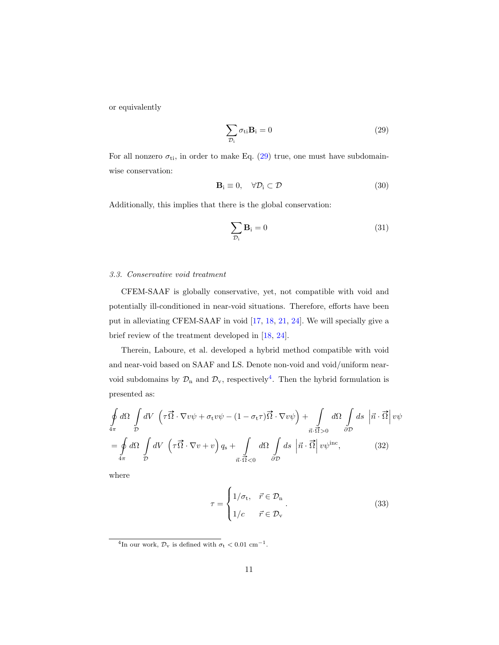or equivalently

<span id="page-10-0"></span>
$$
\sum_{\mathcal{D}_i} \sigma_{ti} \mathbf{B}_i = 0 \tag{29}
$$

For all nonzero  $\sigma_{ti}$ , in order to make Eq. [\(29\)](#page-10-0) true, one must have subdomainwise conservation:

$$
\mathbf{B}_i \equiv 0, \quad \forall \mathcal{D}_i \subset \mathcal{D} \tag{30}
$$

Additionally, this implies that there is the global conservation:

$$
\sum_{\mathcal{D}_i} \mathbf{B}_i = 0 \tag{31}
$$

#### 3.3. Conservative void treatment

CFEM-SAAF is globally conservative, yet, not compatible with void and potentially ill-conditioned in near-void situations. Therefore, efforts have been put in alleviating CFEM-SAAF in void [\[17,](#page-23-2) [18,](#page-23-3) [21,](#page-23-6) [24\]](#page-24-1). We will specially give a brief review of the treatment developed in [\[18,](#page-23-3) [24\]](#page-24-1).

Therein, Laboure, et al. developed a hybrid method compatible with void and near-void based on SAAF and LS. Denote non-void and void/uniform nearvoid subdomains by  $\mathcal{D}_n$  and  $\mathcal{D}_v$ , respectively<sup>[4](#page-10-1)</sup>. Then the hybrid formulation is presented as:

$$
\oint_{4\pi} d\Omega \int_{\mathcal{D}} dV \left( \tau \vec{\Omega} \cdot \nabla v \psi + \sigma_t v \psi - (1 - \sigma_t \tau) \vec{\Omega} \cdot \nabla v \psi \right) + \int_{\vec{n} \cdot \vec{\Omega} > 0} d\Omega \int_{\partial \mathcal{D}} ds \left| \vec{n} \cdot \vec{\Omega} \right| v \psi
$$
\n
$$
= \oint_{4\pi} d\Omega \int_{\mathcal{D}} dV \left( \tau \vec{\Omega} \cdot \nabla v + v \right) q_s + \int_{\vec{n} \cdot \vec{\Omega} < 0} d\Omega \int_{\partial \mathcal{D}} ds \left| \vec{n} \cdot \vec{\Omega} \right| v \psi^{\text{inc}}, \qquad (32)
$$

where

<span id="page-10-2"></span>
$$
\tau = \begin{cases} 1/\sigma_{\text{t}}, & \vec{r} \in \mathcal{D}_{\text{n}} \\ 1/c & \vec{r} \in \mathcal{D}_{\text{v}} \end{cases} . \tag{33}
$$

<span id="page-10-1"></span><sup>&</sup>lt;sup>4</sup>In our work,  $\mathcal{D}_v$  is defined with  $\sigma_t < 0.01$  cm<sup>-1</sup>.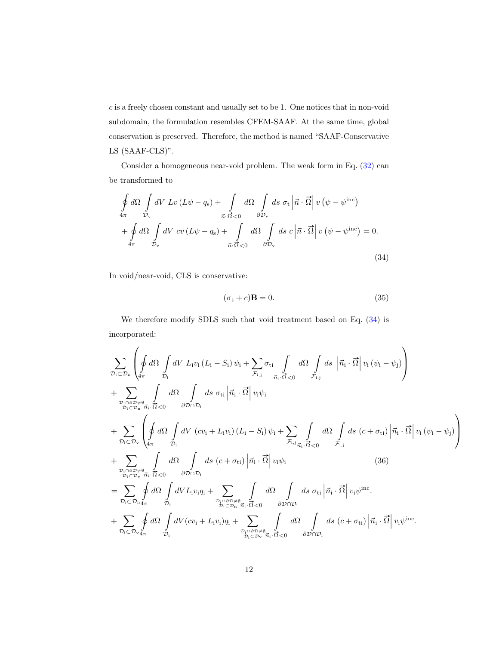$c$  is a freely chosen constant and usually set to be 1. One notices that in non-void subdomain, the formulation resembles CFEM-SAAF. At the same time, global conservation is preserved. Therefore, the method is named "SAAF-Conservative LS (SAAF-CLS)".

Consider a homogeneous near-void problem. The weak form in Eq. [\(32\)](#page-10-2) can be transformed to

$$
\oint_{4\pi} d\Omega \int_{\mathcal{D}_v} dV \, Lv \left( L\psi - q_s \right) + \int_{\vec{n} \cdot \vec{\Omega} < 0} d\Omega \int_{\partial \mathcal{D}_v} ds \, \sigma_t \left| \vec{n} \cdot \vec{\Omega} \right| v \left( \psi - \psi^{\text{inc}} \right) \n+ \oint_{4\pi} d\Omega \int_{\mathcal{D}_v} dV \, cv \left( L\psi - q_s \right) + \int_{\vec{n} \cdot \vec{\Omega} < 0} d\Omega \int_{\partial \mathcal{D}_v} ds \, c \left| \vec{n} \cdot \vec{\Omega} \right| v \left( \psi - \psi^{\text{inc}} \right) = 0.
$$
\n(34)

In void/near-void, CLS is conservative:

<span id="page-11-0"></span>
$$
(\sigma_t + c)\mathbf{B} = 0.\tag{35}
$$

We therefore modify SDLS such that void treatment based on Eq. [\(34\)](#page-11-0) is incorporated:

$$
\sum_{\mathcal{D}_{i} \subset \mathcal{D}_{n}} \left( \oint d\Omega \int dV \ L_{i} v_{i} (L_{i} - S_{i}) \psi_{i} + \sum_{\mathcal{F}_{i,j}} \sigma_{ti} \int d\Omega \int dS \left| \vec{n}_{i} \cdot \vec{\Omega} \right| v_{i} (\psi_{i} - \psi_{j}) \right) \n+ \sum_{\mathcal{D}_{i} \cap \partial \mathcal{D} \neq \emptyset \atop \mathcal{D}_{i} \subset \mathcal{D}_{n}} \int d\Omega \int dS \sigma_{ti} \left| \vec{n}_{i} \cdot \vec{\Omega} \right| v_{i} \psi_{i} \n+ \sum_{\mathcal{D}_{i} \subset \mathcal{D}_{n}} \left( \oint d\Omega \int dV \left( cv_{i} + L_{i} v_{i} \right) (L_{i} - S_{i}) \psi_{i} + \sum_{\mathcal{F}_{i,j}} \int d\Omega \int dS \left( c + \sigma_{ti} \right) \left| \vec{n}_{i} \cdot \vec{\Omega} \right| v_{i} (\psi_{i} - \psi_{j}) \right) \n+ \sum_{\mathcal{D}_{i} \subset \mathcal{D}_{v}} \left( \oint d\Omega \int dV \left( cv_{i} + L_{i} v_{i} \right) (L_{i} - S_{i}) \psi_{i} + \sum_{\mathcal{F}_{i,j}} \int d\Omega \int dS \left( c + \sigma_{ti} \right) \left| \vec{n}_{i} \cdot \vec{\Omega} \right| v_{i} (\psi_{i} - \psi_{j}) \right) \n+ \sum_{\mathcal{D}_{i} \subset \mathcal{D}_{v}} \int d\Omega \int dV \left( cv_{i} + L_{i} v_{i} \right) \left| \vec{n}_{i} \cdot \vec{\Omega} \right| v_{i} \psi_{i} \qquad (36) \n= \sum_{\mathcal{D}_{i} \subset \mathcal{D}_{n}} \oint d\Omega \int dV L_{i} v_{i} q_{i} + \sum_{\mathcal{D}_{i} \cap \partial \mathcal{D} \neq \emptyset \atop \mathcal{D}_{i} \subset \mathcal{D}_{v}} \int d\Omega \int dS \sigma_{ti} \left| \vec{n}_{i} \cdot \vec{\Omega} \right| v_{i} \psi^{\text{inc}} \n+ \sum_{\mathcal{D}_{i} \subset \mathcal{D}_{v}}
$$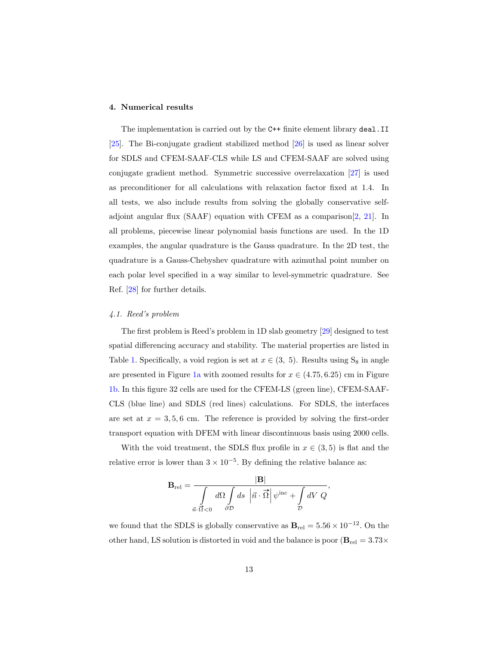## <span id="page-12-0"></span>4. Numerical results

The implementation is carried out by the C++ finite element library deal.II [\[25\]](#page-24-2). The Bi-conjugate gradient stabilized method [\[26\]](#page-24-3) is used as linear solver for SDLS and CFEM-SAAF-CLS while LS and CFEM-SAAF are solved using conjugate gradient method. Symmetric successive overrelaxation [\[27\]](#page-24-4) is used as preconditioner for all calculations with relaxation factor fixed at 1.4. In all tests, we also include results from solving the globally conservative selfadjoint angular flux (SAAF) equation with CFEM as a comparison[\[2,](#page-21-1) [21\]](#page-23-6). In all problems, piecewise linear polynomial basis functions are used. In the 1D examples, the angular quadrature is the Gauss quadrature. In the 2D test, the quadrature is a Gauss-Chebyshev quadrature with azimuthal point number on each polar level specified in a way similar to level-symmetric quadrature. See Ref. [\[28\]](#page-24-5) for further details.

# 4.1. Reed's problem

The first problem is Reed's problem in 1D slab geometry [\[29\]](#page-24-6) designed to test spatial differencing accuracy and stability. The material properties are listed in Table [1.](#page-13-0) Specifically, a void region is set at  $x \in (3, 5)$ . Results using S<sub>8</sub> in angle are presented in Figure [1a](#page-13-1) with zoomed results for  $x \in (4.75, 6.25)$  cm in Figure [1b.](#page-13-1) In this figure 32 cells are used for the CFEM-LS (green line), CFEM-SAAF-CLS (blue line) and SDLS (red lines) calculations. For SDLS, the interfaces are set at  $x = 3, 5, 6$  cm. The reference is provided by solving the first-order transport equation with DFEM with linear discontinuous basis using 2000 cells.

With the void treatment, the SDLS flux profile in  $x \in (3,5)$  is flat and the relative error is lower than  $3 \times 10^{-5}$ . By defining the relative balance as:

$$
\mathbf{B}_{\rm rel} = \frac{|\mathbf{B}|}{\int\limits_{\vec{n}\cdot\vec{\Omega}<0}d\Omega\int\limits_{\partial\mathcal{D}}ds\,\left|\vec{n}\cdot\vec{\Omega}\right|\psi^{\rm inc} + \int\limits_{\mathcal{D}}dV\,\,Q},
$$

we found that the SDLS is globally conservative as  $B_{rel} = 5.56 \times 10^{-12}$ . On the other hand, LS solution is distorted in void and the balance is poor ( $B_{rel} = 3.73 \times$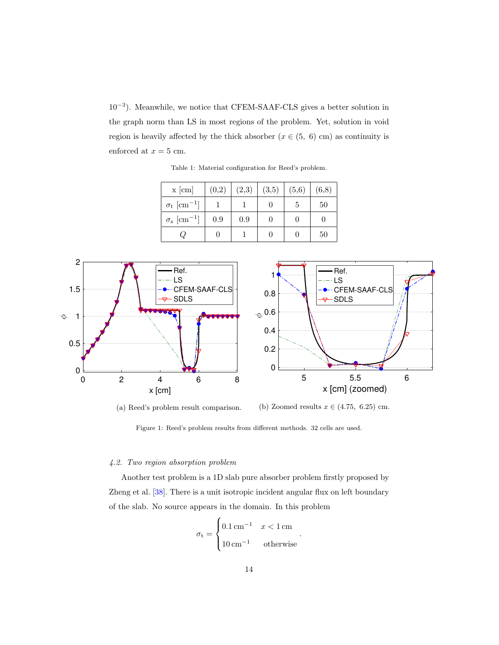<span id="page-13-0"></span>10−<sup>3</sup> ). Meanwhile, we notice that CFEM-SAAF-CLS gives a better solution in the graph norm than LS in most regions of the problem. Yet, solution in void region is heavily affected by the thick absorber ( $x \in (5, 6)$  cm) as continuity is enforced at  $x = 5$  cm.

| $x$ [cm]                             | (0,2) | (2,3) | (3,5) | (5,6) | (6,8) |
|--------------------------------------|-------|-------|-------|-------|-------|
| $\sigma_{\rm t}$ [cm <sup>-1</sup> ] |       |       |       | 5     | 50    |
| $\sigma_{\rm s}~[{\rm cm}^{-1}]$     | 0.9   | 0.9   |       |       |       |
|                                      |       |       |       |       | 50    |

Table 1: Material configuration for Reed's problem.

<span id="page-13-1"></span>

(a) Reed's problem result comparison. (b) Zoomed results  $x \in (4.75, 6.25)$  cm.

# 4.2. Two region absorption problem

Another test problem is a 1D slab pure absorber problem firstly proposed by Zheng et al. [\[38\]](#page-25-0). There is a unit isotropic incident angular flux on left boundary of the slab. No source appears in the domain. In this problem

$$
\sigma_{\rm t} = \begin{cases} 0.1 \,\text{cm}^{-1} & x < 1 \,\text{cm} \\ 10 \,\text{cm}^{-1} & \text{otherwise} \end{cases}
$$

.

Figure 1: Reed's problem results from different methods. 32 cells are used.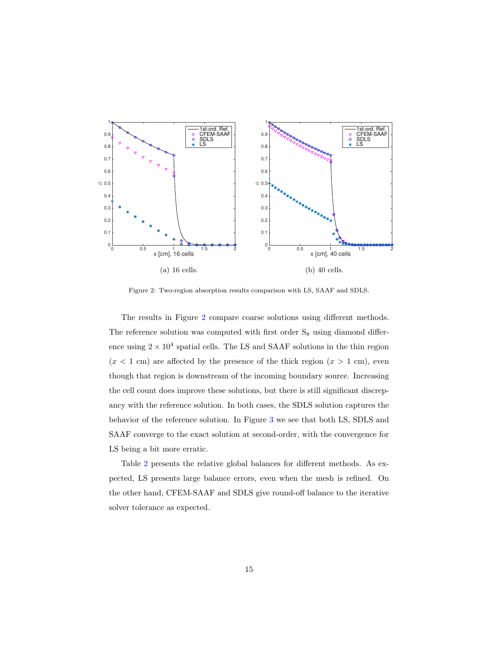<span id="page-14-0"></span>

Figure 2: Two-region absorption results comparison with LS, SAAF and SDLS.

The results in Figure [2](#page-14-0) compare coarse solutions using different methods. The reference solution was computed with first order  $S_8$  using diamond difference using  $2 \times 10^4$  spatial cells. The LS and SAAF solutions in the thin region  $(x < 1$  cm) are affected by the presence of the thick region  $(x > 1$  cm), even though that region is downstream of the incoming boundary source. Increasing the cell count does improve these solutions, but there is still significant discrepancy with the reference solution. In both cases, the SDLS solution captures the behavior of the reference solution. In Figure [3](#page-15-0) we see that both LS, SDLS and SAAF converge to the exact solution at second-order, with the convergence for LS being a bit more erratic.

Table [2](#page-15-1) presents the relative global balances for different methods. As expected, LS presents large balance errors, even when the mesh is refined. On the other hand, CFEM-SAAF and SDLS give round-off balance to the iterative solver tolerance as expected.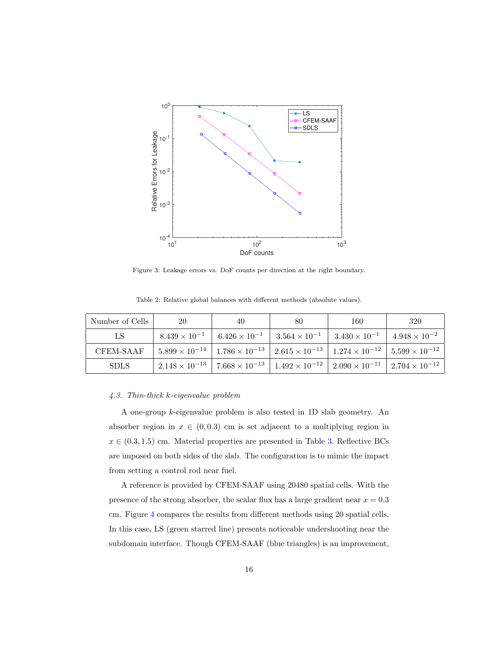<span id="page-15-0"></span>

Figure 3: Leakage errors vs. DoF counts per direction at the right boundary.

| Number of Cells | 20 | 40                                                                       | 80 | 160                                             | 320                                                                                                                             |
|-----------------|----|--------------------------------------------------------------------------|----|-------------------------------------------------|---------------------------------------------------------------------------------------------------------------------------------|
| LS              |    | $8.439 \times 10^{-1}$   $6.426 \times 10^{-1}$   $3.564 \times 10^{-1}$ |    | $3.430 \times 10^{-1}$   $4.948 \times 10^{-2}$ |                                                                                                                                 |
| CFEM-SAAF       |    |                                                                          |    |                                                 | $5.899 \times 10^{-14}$   $1.786 \times 10^{-13}$   $2.615 \times 10^{-13}$   $1.274 \times 10^{-12}$   $5.599 \times 10^{-12}$ |
| <b>SDLS</b>     |    |                                                                          |    |                                                 | $2.148 \times 10^{-13}$   $7.668 \times 10^{-13}$   $1.492 \times 10^{-12}$   $2.090 \times 10^{-11}$   $2.704 \times 10^{-12}$ |

<span id="page-15-1"></span>Table 2: Relative global balances with different methods (absolute values).

#### 4.3. Thin-thick k-eigenvalue problem

A one-group k-eigenvalue problem is also tested in 1D slab geometry. An absorber region in  $x \in (0, 0.3)$  cm is set adjacent to a multiplying region in  $x \in (0.3, 1.5)$  cm. Material properties are presented in Table [3.](#page-16-0) Reflective BCs are imposed on both sides of the slab. The configuration is to mimic the impact from setting a control rod near fuel.

A reference is provided by CFEM-SAAF using 20480 spatial cells. With the presence of the strong absorber, the scalar flux has a large gradient near  $x = 0.3$ cm. Figure [4](#page-16-1) compares the results from different methods using 20 spatial cells. In this case, LS (green starred line) presents noticeable undershooting near the subdomain interface. Though CFEM-SAAF (blue triangles) is an improvement,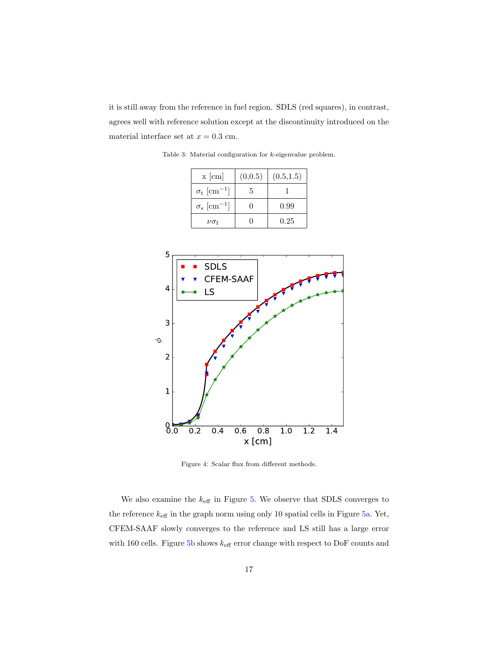<span id="page-16-0"></span>it is still away from the reference in fuel region. SDLS (red squares), in contrast, agrees well with reference solution except at the discontinuity introduced on the material interface set at  $x = 0.3$  cm.

| $x$ [cm]                         | (0,0.5) | (0.5, 1.5) |
|----------------------------------|---------|------------|
| $\sigma_{\rm t}~[{\rm cm}^{-1}]$ | 5.      |            |
| $\sigma_{\rm s}~[{\rm cm}^{-1}]$ |         | 0.99       |
| $\nu\sigma$ f                    |         | $0.25\,$   |

<span id="page-16-1"></span>0.0 0.2 0.4 0.6 0.8 1.0 1.2 1.4 x [cm]  $0.0$ 1 2 3 4 5 ÁSDLS CFEM-SAAF LS

Figure 4: Scalar flux from different methods.

We also examine the  $k_{\rm eff}$  in Figure [5.](#page-17-0) We observe that SDLS converges to the reference  $k_{\text{eff}}$  in the graph norm using only 10 spatial cells in Figure [5a.](#page-17-0) Yet, CFEM-SAAF slowly converges to the reference and LS still has a large error with 160 cells. Figure [5b](#page-17-0) shows  $k_{\text{eff}}$  error change with respect to DoF counts and

Table 3: Material configuration for k-eigenvalue problem.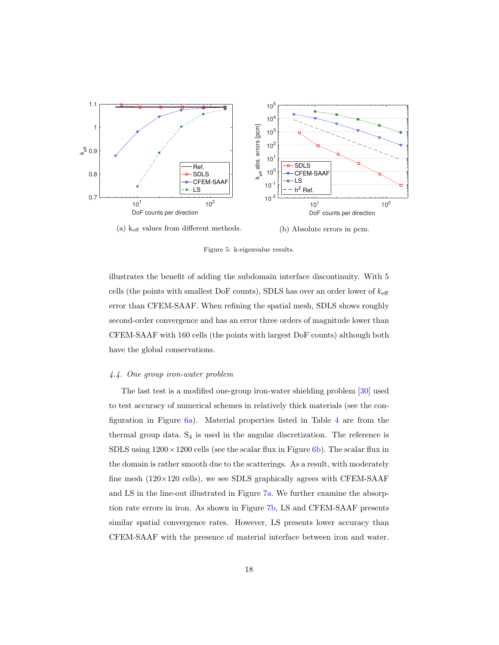<span id="page-17-0"></span>

Figure 5: k-eigenvalue results.

illustrates the benefit of adding the subdomain interface discontinuity. With 5 cells (the points with smallest DoF counts), SDLS has over an order lower of  $k_{\text{eff}}$ error than CFEM-SAAF. When refining the spatial mesh, SDLS shows roughly second-order convergence and has an error three orders of magnitude lower than CFEM-SAAF with 160 cells (the points with largest DoF counts) although both have the global conservations.

# 4.4. One group iron-water problem

The last test is a modified one-group iron-water shielding problem [\[30\]](#page-24-7) used to test accuracy of numerical schemes in relatively thick materials (see the configuration in Figure [6a\)](#page-18-0). Material properties listed in Table [4](#page-18-1) are from the thermal group data.  $S_4$  is used in the angular discretization. The reference is SDLS using  $1200 \times 1200$  cells (see the scalar flux in Figure [6b\)](#page-18-0). The scalar flux in the domain is rather smooth due to the scatterings. As a result, with moderately fine mesh  $(120\times120 \text{ cells})$ , we see SDLS graphically agrees with CFEM-SAAF and LS in the line-out illustrated in Figure [7a.](#page-19-0) We further examine the absorption rate errors in iron. As shown in Figure [7b,](#page-19-0) LS and CFEM-SAAF presents similar spatial convergence rates. However, LS presents lower accuracy than CFEM-SAAF with the presence of material interface between iron and water.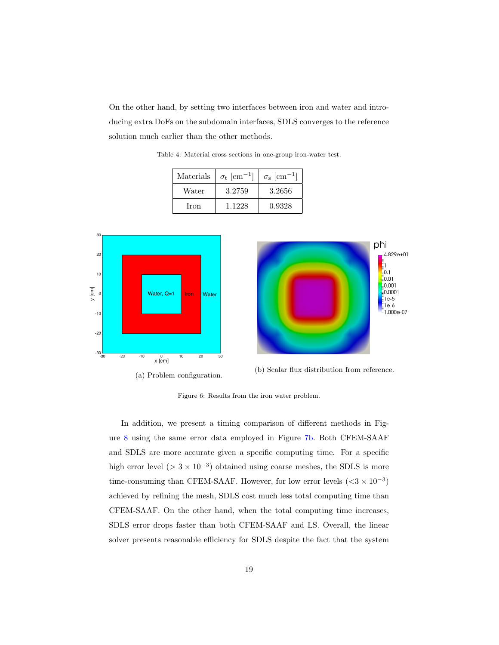<span id="page-18-1"></span>On the other hand, by setting two interfaces between iron and water and introducing extra DoFs on the subdomain interfaces, SDLS converges to the reference solution much earlier than the other methods.

| Materials | $\sigma_{\rm t}$ [cm <sup>-1</sup> ] | $\sigma_{\rm s}~[{\rm cm}^{-1}]$ |
|-----------|--------------------------------------|----------------------------------|
| Water     | 3.2759                               | 3.2656                           |
| Iron      | 1.1228                               | 0.9328                           |

<span id="page-18-0"></span>

Table 4: Material cross sections in one-group iron-water test.



(a) Problem configuration. (b) Scalar flux distribution from reference.

Figure 6: Results from the iron water problem.

In addition, we present a timing comparison of different methods in Figure [8](#page-19-1) using the same error data employed in Figure [7b.](#page-19-0) Both CFEM-SAAF and SDLS are more accurate given a specific computing time. For a specific high error level ( $> 3 \times 10^{-3}$ ) obtained using coarse meshes, the SDLS is more time-consuming than CFEM-SAAF. However, for low error levels  $( $3 \times 10^{-3}$ )$ achieved by refining the mesh, SDLS cost much less total computing time than CFEM-SAAF. On the other hand, when the total computing time increases, SDLS error drops faster than both CFEM-SAAF and LS. Overall, the linear solver presents reasonable efficiency for SDLS despite the fact that the system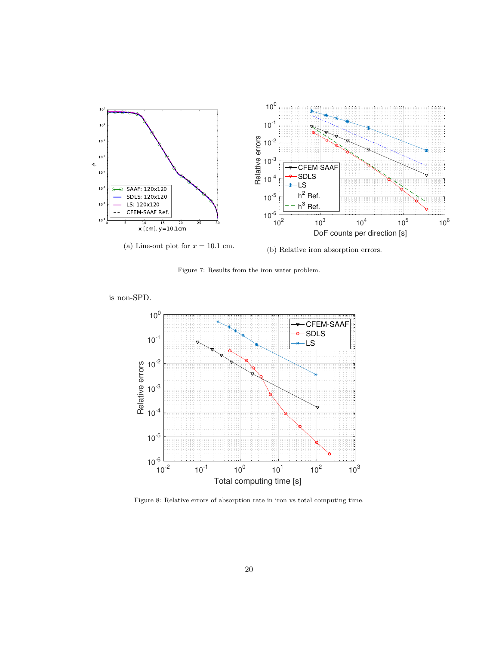<span id="page-19-0"></span>

Figure 7: Results from the iron water problem.

<span id="page-19-1"></span>is non-SPD.



Figure 8: Relative errors of absorption rate in iron vs total computing time.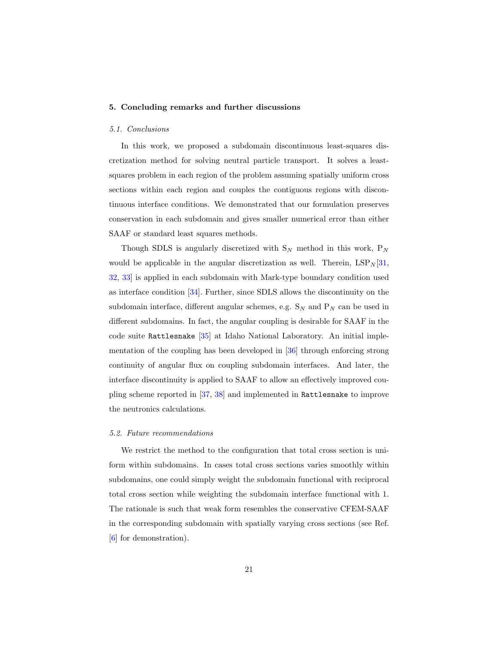## <span id="page-20-0"></span>5. Concluding remarks and further discussions

#### 5.1. Conclusions

In this work, we proposed a subdomain discontinuous least-squares discretization method for solving neutral particle transport. It solves a leastsquares problem in each region of the problem assuming spatially uniform cross sections within each region and couples the contiguous regions with discontinuous interface conditions. We demonstrated that our formulation preserves conservation in each subdomain and gives smaller numerical error than either SAAF or standard least squares methods.

Though SDLS is angularly discretized with  $S_N$  method in this work,  $P_N$ would be applicable in the angular discretization as well. Therein,  $\text{LSP}_N[31,$  $\text{LSP}_N[31,$ [32,](#page-24-9) [33\]](#page-25-1) is applied in each subdomain with Mark-type boundary condition used as interface condition [\[34\]](#page-25-2). Further, since SDLS allows the discontinuity on the subdomain interface, different angular schemes, e.g.  $S_N$  and  $P_N$  can be used in different subdomains. In fact, the angular coupling is desirable for SAAF in the code suite Rattlesnake [\[35\]](#page-25-3) at Idaho National Laboratory. An initial implementation of the coupling has been developed in [\[36\]](#page-25-4) through enforcing strong continuity of angular flux on coupling subdomain interfaces. And later, the interface discontinuity is applied to SAAF to allow an effectively improved coupling scheme reported in [\[37,](#page-25-5) [38\]](#page-25-0) and implemented in Rattlesnake to improve the neutronics calculations.

#### 5.2. Future recommendations

We restrict the method to the configuration that total cross section is uniform within subdomains. In cases total cross sections varies smoothly within subdomains, one could simply weight the subdomain functional with reciprocal total cross section while weighting the subdomain interface functional with 1. The rationale is such that weak form resembles the conservative CFEM-SAAF in the corresponding subdomain with spatially varying cross sections (see Ref. [\[6\]](#page-22-1) for demonstration).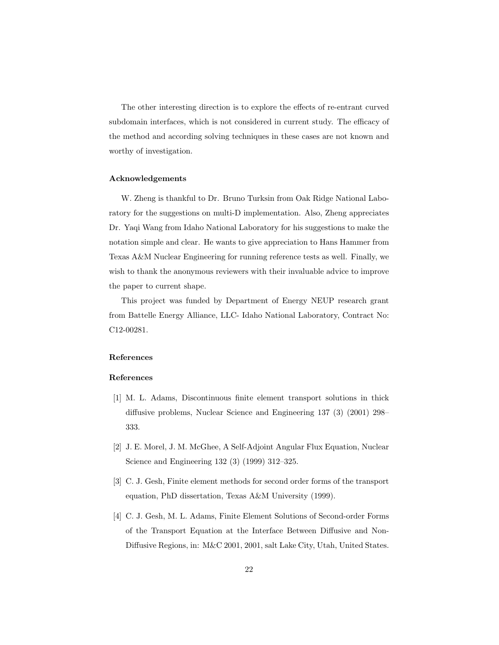The other interesting direction is to explore the effects of re-entrant curved subdomain interfaces, which is not considered in current study. The efficacy of the method and according solving techniques in these cases are not known and worthy of investigation.

# Acknowledgements

W. Zheng is thankful to Dr. Bruno Turksin from Oak Ridge National Laboratory for the suggestions on multi-D implementation. Also, Zheng appreciates Dr. Yaqi Wang from Idaho National Laboratory for his suggestions to make the notation simple and clear. He wants to give appreciation to Hans Hammer from Texas A&M Nuclear Engineering for running reference tests as well. Finally, we wish to thank the anonymous reviewers with their invaluable advice to improve the paper to current shape.

This project was funded by Department of Energy NEUP research grant from Battelle Energy Alliance, LLC- Idaho National Laboratory, Contract No: C12-00281.

# References

#### References

- <span id="page-21-0"></span>[1] M. L. Adams, Discontinuous finite element transport solutions in thick diffusive problems, Nuclear Science and Engineering 137 (3) (2001) 298– 333.
- <span id="page-21-1"></span>[2] J. E. Morel, J. M. McGhee, A Self-Adjoint Angular Flux Equation, Nuclear Science and Engineering 132 (3) (1999) 312–325.
- <span id="page-21-2"></span>[3] C. J. Gesh, Finite element methods for second order forms of the transport equation, PhD dissertation, Texas A&M University (1999).
- <span id="page-21-3"></span>[4] C. J. Gesh, M. L. Adams, Finite Element Solutions of Second-order Forms of the Transport Equation at the Interface Between Diffusive and Non-Diffusive Regions, in: M&C 2001, 2001, salt Lake City, Utah, United States.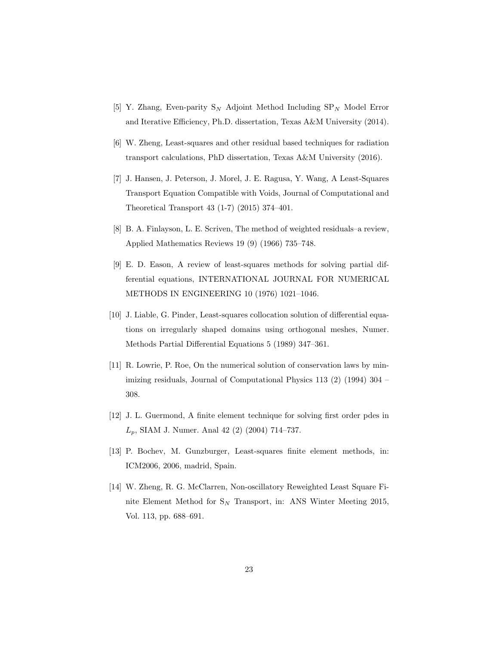- <span id="page-22-0"></span>[5] Y. Zhang, Even-parity  $S_N$  Adjoint Method Including  $SP_N$  Model Error and Iterative Efficiency, Ph.D. dissertation, Texas A&M University (2014).
- <span id="page-22-1"></span>[6] W. Zheng, Least-squares and other residual based techniques for radiation transport calculations, PhD dissertation, Texas A&M University (2016).
- <span id="page-22-2"></span>[7] J. Hansen, J. Peterson, J. Morel, J. E. Ragusa, Y. Wang, A Least-Squares Transport Equation Compatible with Voids, Journal of Computational and Theoretical Transport 43 (1-7) (2015) 374–401.
- <span id="page-22-3"></span>[8] B. A. Finlayson, L. E. Scriven, The method of weighted residuals–a review, Applied Mathematics Reviews 19 (9) (1966) 735–748.
- <span id="page-22-4"></span>[9] E. D. Eason, A review of least-squares methods for solving partial differential equations, INTERNATIONAL JOURNAL FOR NUMERICAL METHODS IN ENGINEERING 10 (1976) 1021–1046.
- <span id="page-22-5"></span>[10] J. Liable, G. Pinder, Least-squares collocation solution of differential equations on irregularly shaped domains using orthogonal meshes, Numer. Methods Partial Differential Equations 5 (1989) 347–361.
- <span id="page-22-6"></span>[11] R. Lowrie, P. Roe, On the numerical solution of conservation laws by minimizing residuals, Journal of Computational Physics 113 (2) (1994) 304 – 308.
- <span id="page-22-7"></span>[12] J. L. Guermond, A finite element technique for solving first order pdes in  $L_p$ , SIAM J. Numer. Anal 42 (2) (2004) 714–737.
- <span id="page-22-8"></span>[13] P. Bochev, M. Gunzburger, Least-squares finite element methods, in: ICM2006, 2006, madrid, Spain.
- <span id="page-22-9"></span>[14] W. Zheng, R. G. McClarren, Non-oscillatory Reweighted Least Square Finite Element Method for  $S_N$  Transport, in: ANS Winter Meeting 2015, Vol. 113, pp. 688–691.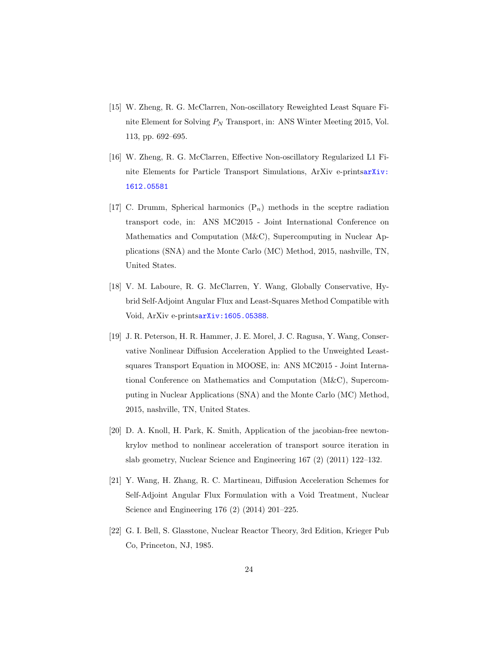- <span id="page-23-1"></span>[15] W. Zheng, R. G. McClarren, Non-oscillatory Reweighted Least Square Finite Element for Solving  $P_N$  Transport, in: ANS Winter Meeting 2015, Vol. 113, pp. 692–695.
- <span id="page-23-0"></span>[16] W. Zheng, R. G. McClarren, Effective Non-oscillatory Regularized L1 Finite Elements for Particle Transport Simulations, ArXiv e-prints[arXiv:](https://arxiv.org/abs/1612.05581) [1612.05581](https://arxiv.org/abs/1612.05581)
- <span id="page-23-2"></span>[17] C. Drumm, Spherical harmonics  $(P_n)$  methods in the sceptre radiation transport code, in: ANS MC2015 - Joint International Conference on Mathematics and Computation (M&C), Supercomputing in Nuclear Applications (SNA) and the Monte Carlo (MC) Method, 2015, nashville, TN, United States.
- <span id="page-23-3"></span>[18] V. M. Laboure, R. G. McClarren, Y. Wang, Globally Conservative, Hybrid Self-Adjoint Angular Flux and Least-Squares Method Compatible with Void, ArXiv e-prints[arXiv:1605.05388](http://arxiv.org/abs/1605.05388).
- <span id="page-23-4"></span>[19] J. R. Peterson, H. R. Hammer, J. E. Morel, J. C. Ragusa, Y. Wang, Conservative Nonlinear Diffusion Acceleration Applied to the Unweighted Leastsquares Transport Equation in MOOSE, in: ANS MC2015 - Joint International Conference on Mathematics and Computation (M&C), Supercomputing in Nuclear Applications (SNA) and the Monte Carlo (MC) Method, 2015, nashville, TN, United States.
- <span id="page-23-5"></span>[20] D. A. Knoll, H. Park, K. Smith, Application of the jacobian-free newtonkrylov method to nonlinear acceleration of transport source iteration in slab geometry, Nuclear Science and Engineering 167 (2) (2011) 122–132.
- <span id="page-23-6"></span>[21] Y. Wang, H. Zhang, R. C. Martineau, Diffusion Acceleration Schemes for Self-Adjoint Angular Flux Formulation with a Void Treatment, Nuclear Science and Engineering 176 (2) (2014) 201–225.
- <span id="page-23-7"></span>[22] G. I. Bell, S. Glasstone, Nuclear Reactor Theory, 3rd Edition, Krieger Pub Co, Princeton, NJ, 1985.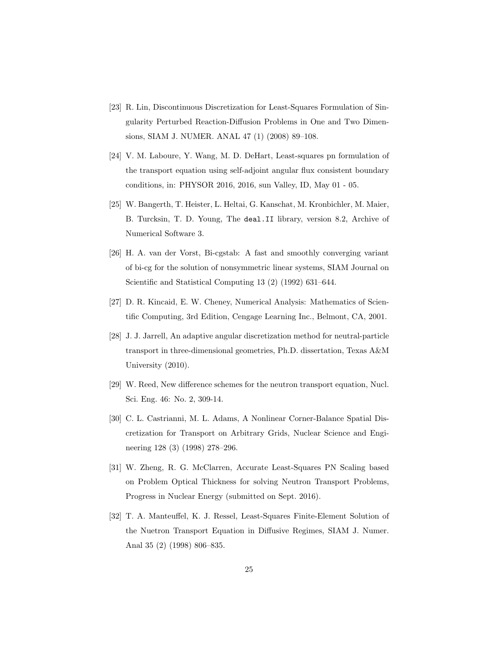- <span id="page-24-0"></span>[23] R. Lin, Discontinuous Discretization for Least-Squares Formulation of Singularity Perturbed Reaction-Diffusion Problems in One and Two Dimensions, SIAM J. NUMER. ANAL 47 (1) (2008) 89–108.
- <span id="page-24-1"></span>[24] V. M. Laboure, Y. Wang, M. D. DeHart, Least-squares pn formulation of the transport equation using self-adjoint angular flux consistent boundary conditions, in: PHYSOR 2016, 2016, sun Valley, ID, May 01 - 05.
- <span id="page-24-2"></span>[25] W. Bangerth, T. Heister, L. Heltai, G. Kanschat, M. Kronbichler, M. Maier, B. Turcksin, T. D. Young, The deal.II library, version 8.2, Archive of Numerical Software 3.
- <span id="page-24-3"></span>[26] H. A. van der Vorst, Bi-cgstab: A fast and smoothly converging variant of bi-cg for the solution of nonsymmetric linear systems, SIAM Journal on Scientific and Statistical Computing 13 (2) (1992) 631–644.
- <span id="page-24-4"></span>[27] D. R. Kincaid, E. W. Cheney, Numerical Analysis: Mathematics of Scientific Computing, 3rd Edition, Cengage Learning Inc., Belmont, CA, 2001.
- <span id="page-24-5"></span>[28] J. J. Jarrell, An adaptive angular discretization method for neutral-particle transport in three-dimensional geometries, Ph.D. dissertation, Texas A&M University (2010).
- <span id="page-24-6"></span>[29] W. Reed, New difference schemes for the neutron transport equation, Nucl. Sci. Eng. 46: No. 2, 309-14.
- <span id="page-24-7"></span>[30] C. L. Castrianni, M. L. Adams, A Nonlinear Corner-Balance Spatial Discretization for Transport on Arbitrary Grids, Nuclear Science and Engineering 128 (3) (1998) 278–296.
- <span id="page-24-8"></span>[31] W. Zheng, R. G. McClarren, Accurate Least-Squares PN Scaling based on Problem Optical Thickness for solving Neutron Transport Problems, Progress in Nuclear Energy (submitted on Sept. 2016).
- <span id="page-24-9"></span>[32] T. A. Manteuffel, K. J. Ressel, Least-Squares Finite-Element Solution of the Nuetron Transport Equation in Diffusive Regimes, SIAM J. Numer. Anal 35 (2) (1998) 806–835.